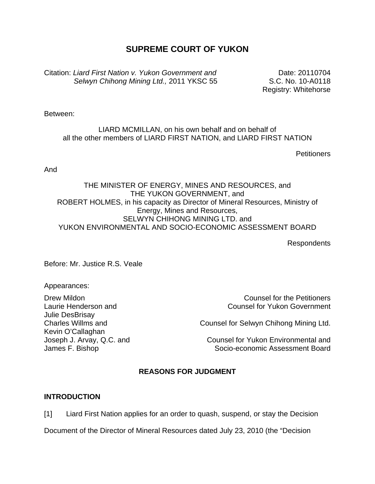# **SUPREME COURT OF YUKON**

Citation: *Liard First Nation v. Yukon Government and Selwyn Chihong Mining Ltd.,* 2011 YKSC 55

Date: 20110704 S.C. No. 10-A0118 Registry: Whitehorse

Between:

LIARD MCMILLAN, on his own behalf and on behalf of all the other members of LIARD FIRST NATION, and LIARD FIRST NATION

**Petitioners** 

And

## THE MINISTER OF ENERGY, MINES AND RESOURCES, and THE YUKON GOVERNMENT, and ROBERT HOLMES, in his capacity as Director of Mineral Resources, Ministry of Energy, Mines and Resources, SELWYN CHIHONG MINING LTD. and YUKON ENVIRONMENTAL AND SOCIO-ECONOMIC ASSESSMENT BOARD

Respondents

Before: Mr. Justice R.S. Veale

Appearances:

Laurie Henderson and Julie DesBrisay Charles Willms and Kevin O'Callaghan Joseph J. Arvay, Q.C. and James F. Bishop

Drew Mildon Counsel for the Petitioners Counsel for Yukon Government

Counsel for Selwyn Chihong Mining Ltd.

Counsel for Yukon Environmental and Socio-economic Assessment Board

# **REASONS FOR JUDGMENT**

## **INTRODUCTION**

[1] Liard First Nation applies for an order to quash, suspend, or stay the Decision

Document of the Director of Mineral Resources dated July 23, 2010 (the "Decision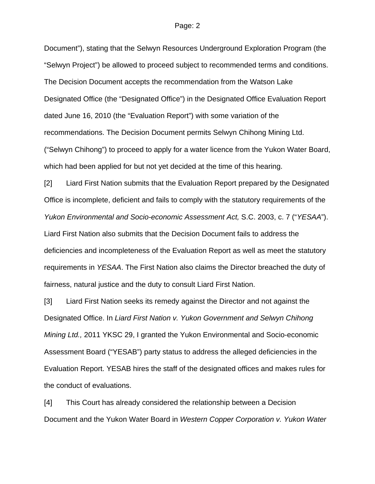Document"), stating that the Selwyn Resources Underground Exploration Program (the "Selwyn Project") be allowed to proceed subject to recommended terms and conditions. The Decision Document accepts the recommendation from the Watson Lake Designated Office (the "Designated Office") in the Designated Office Evaluation Report dated June 16, 2010 (the "Evaluation Report") with some variation of the recommendations. The Decision Document permits Selwyn Chihong Mining Ltd. ("Selwyn Chihong") to proceed to apply for a water licence from the Yukon Water Board, which had been applied for but not yet decided at the time of this hearing.

[2] Liard First Nation submits that the Evaluation Report prepared by the Designated Office is incomplete, deficient and fails to comply with the statutory requirements of the *Yukon Environmental and Socio-economic Assessment Act,* S.C. 2003, c. 7 ("*YESAA*"). Liard First Nation also submits that the Decision Document fails to address the deficiencies and incompleteness of the Evaluation Report as well as meet the statutory requirements in *YESAA*. The First Nation also claims the Director breached the duty of fairness, natural justice and the duty to consult Liard First Nation.

[3] Liard First Nation seeks its remedy against the Director and not against the Designated Office. In *Liard First Nation v. Yukon Government and Selwyn Chihong Mining Ltd.,* 2011 YKSC 29, I granted the Yukon Environmental and Socio-economic Assessment Board ("YESAB") party status to address the alleged deficiencies in the Evaluation Report. YESAB hires the staff of the designated offices and makes rules for the conduct of evaluations.

[4] This Court has already considered the relationship between a Decision Document and the Yukon Water Board in *Western Copper Corporation v. Yukon Water*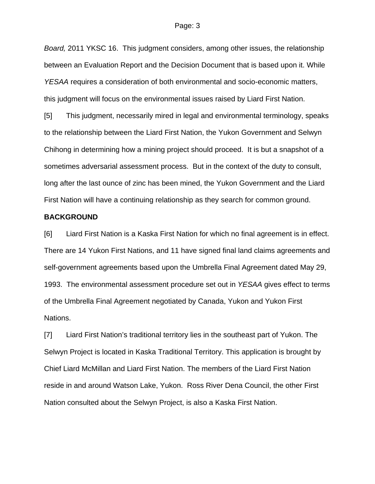*Board,* 2011 YKSC 16. This judgment considers, among other issues, the relationship between an Evaluation Report and the Decision Document that is based upon it. While *YESAA* requires a consideration of both environmental and socio-economic matters, this judgment will focus on the environmental issues raised by Liard First Nation.

[5] This judgment, necessarily mired in legal and environmental terminology, speaks to the relationship between the Liard First Nation, the Yukon Government and Selwyn Chihong in determining how a mining project should proceed. It is but a snapshot of a sometimes adversarial assessment process. But in the context of the duty to consult, long after the last ounce of zinc has been mined, the Yukon Government and the Liard First Nation will have a continuing relationship as they search for common ground.

### **BACKGROUND**

[6] Liard First Nation is a Kaska First Nation for which no final agreement is in effect. There are 14 Yukon First Nations, and 11 have signed final land claims agreements and self-government agreements based upon the Umbrella Final Agreement dated May 29, 1993. The environmental assessment procedure set out in *YESAA* gives effect to terms of the Umbrella Final Agreement negotiated by Canada, Yukon and Yukon First Nations.

[7] Liard First Nation's traditional territory lies in the southeast part of Yukon. The Selwyn Project is located in Kaska Traditional Territory. This application is brought by Chief Liard McMillan and Liard First Nation. The members of the Liard First Nation reside in and around Watson Lake, Yukon. Ross River Dena Council, the other First Nation consulted about the Selwyn Project, is also a Kaska First Nation.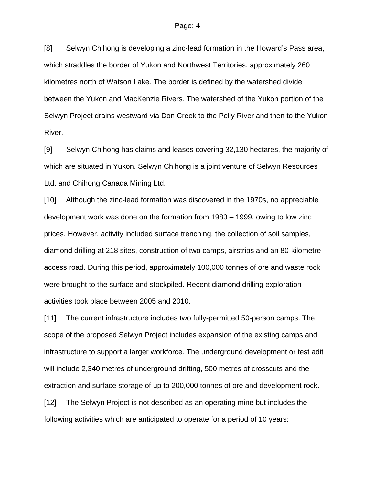[8] Selwyn Chihong is developing a zinc-lead formation in the Howard's Pass area, which straddles the border of Yukon and Northwest Territories, approximately 260 kilometres north of Watson Lake. The border is defined by the watershed divide between the Yukon and MacKenzie Rivers. The watershed of the Yukon portion of the Selwyn Project drains westward via Don Creek to the Pelly River and then to the Yukon River.

[9] Selwyn Chihong has claims and leases covering 32,130 hectares, the majority of which are situated in Yukon. Selwyn Chihong is a joint venture of Selwyn Resources Ltd. and Chihong Canada Mining Ltd.

[10] Although the zinc-lead formation was discovered in the 1970s, no appreciable development work was done on the formation from 1983 – 1999, owing to low zinc prices. However, activity included surface trenching, the collection of soil samples, diamond drilling at 218 sites, construction of two camps, airstrips and an 80-kilometre access road. During this period, approximately 100,000 tonnes of ore and waste rock were brought to the surface and stockpiled. Recent diamond drilling exploration activities took place between 2005 and 2010.

[11] The current infrastructure includes two fully-permitted 50-person camps. The scope of the proposed Selwyn Project includes expansion of the existing camps and infrastructure to support a larger workforce. The underground development or test adit will include 2,340 metres of underground drifting, 500 metres of crosscuts and the extraction and surface storage of up to 200,000 tonnes of ore and development rock. [12] The Selwyn Project is not described as an operating mine but includes the following activities which are anticipated to operate for a period of 10 years: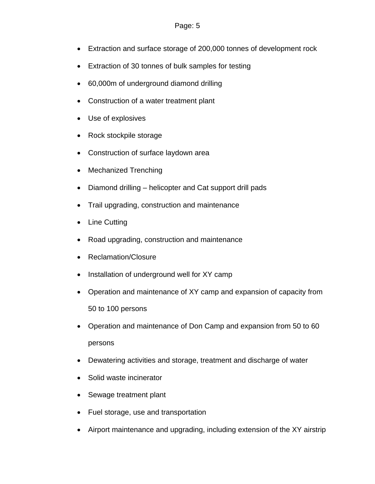- Extraction and surface storage of 200,000 tonnes of development rock
- Extraction of 30 tonnes of bulk samples for testing
- 60,000m of underground diamond drilling
- Construction of a water treatment plant
- Use of explosives
- Rock stockpile storage
- Construction of surface laydown area
- Mechanized Trenching
- Diamond drilling helicopter and Cat support drill pads
- Trail upgrading, construction and maintenance
- Line Cutting
- Road upgrading, construction and maintenance
- Reclamation/Closure
- Installation of underground well for XY camp
- Operation and maintenance of XY camp and expansion of capacity from 50 to 100 persons
- Operation and maintenance of Don Camp and expansion from 50 to 60 persons
- Dewatering activities and storage, treatment and discharge of water
- Solid waste incinerator
- Sewage treatment plant
- Fuel storage, use and transportation
- Airport maintenance and upgrading, including extension of the XY airstrip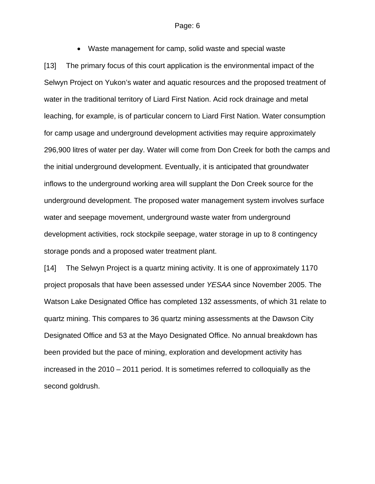• Waste management for camp, solid waste and special waste [13] The primary focus of this court application is the environmental impact of the Selwyn Project on Yukon's water and aquatic resources and the proposed treatment of water in the traditional territory of Liard First Nation. Acid rock drainage and metal leaching, for example, is of particular concern to Liard First Nation. Water consumption for camp usage and underground development activities may require approximately 296,900 litres of water per day. Water will come from Don Creek for both the camps and the initial underground development. Eventually, it is anticipated that groundwater inflows to the underground working area will supplant the Don Creek source for the underground development. The proposed water management system involves surface water and seepage movement, underground waste water from underground development activities, rock stockpile seepage, water storage in up to 8 contingency storage ponds and a proposed water treatment plant.

[14] The Selwyn Project is a quartz mining activity. It is one of approximately 1170 project proposals that have been assessed under *YESAA* since November 2005. The Watson Lake Designated Office has completed 132 assessments, of which 31 relate to quartz mining. This compares to 36 quartz mining assessments at the Dawson City Designated Office and 53 at the Mayo Designated Office. No annual breakdown has been provided but the pace of mining, exploration and development activity has increased in the 2010 – 2011 period. It is sometimes referred to colloquially as the second goldrush.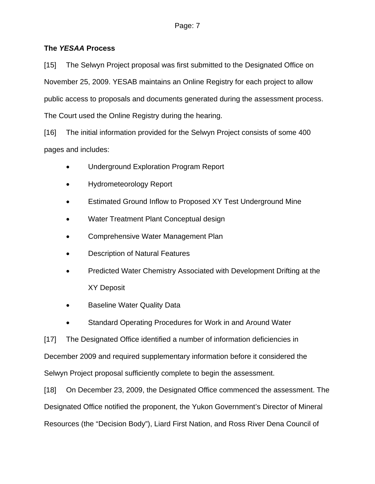# **The** *YESAA* **Process**

[15] The Selwyn Project proposal was first submitted to the Designated Office on November 25, 2009. YESAB maintains an Online Registry for each project to allow public access to proposals and documents generated during the assessment process. The Court used the Online Registry during the hearing.

[16] The initial information provided for the Selwyn Project consists of some 400 pages and includes:

- Underground Exploration Program Report
- Hydrometeorology Report
- Estimated Ground Inflow to Proposed XY Test Underground Mine
- Water Treatment Plant Conceptual design
- Comprehensive Water Management Plan
- Description of Natural Features
- Predicted Water Chemistry Associated with Development Drifting at the XY Deposit
- Baseline Water Quality Data
- Standard Operating Procedures for Work in and Around Water

[17] The Designated Office identified a number of information deficiencies in December 2009 and required supplementary information before it considered the Selwyn Project proposal sufficiently complete to begin the assessment.

[18] On December 23, 2009, the Designated Office commenced the assessment. The Designated Office notified the proponent, the Yukon Government's Director of Mineral Resources (the "Decision Body"), Liard First Nation, and Ross River Dena Council of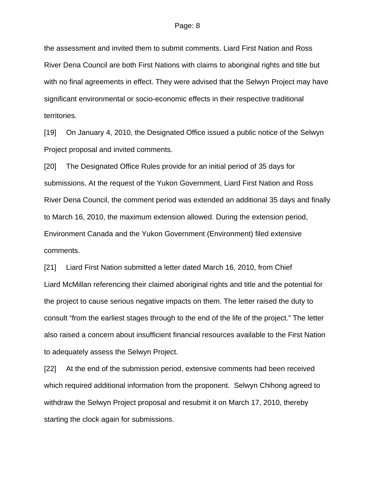the assessment and invited them to submit comments. Liard First Nation and Ross River Dena Council are both First Nations with claims to aboriginal rights and title but with no final agreements in effect. They were advised that the Selwyn Project may have significant environmental or socio-economic effects in their respective traditional territories.

[19] On January 4, 2010, the Designated Office issued a public notice of the Selwyn Project proposal and invited comments.

[20] The Designated Office Rules provide for an initial period of 35 days for submissions. At the request of the Yukon Government, Liard First Nation and Ross River Dena Council, the comment period was extended an additional 35 days and finally to March 16, 2010, the maximum extension allowed. During the extension period, Environment Canada and the Yukon Government (Environment) filed extensive comments.

[21] Liard First Nation submitted a letter dated March 16, 2010, from Chief Liard McMillan referencing their claimed aboriginal rights and title and the potential for the project to cause serious negative impacts on them. The letter raised the duty to consult "from the earliest stages through to the end of the life of the project." The letter also raised a concern about insufficient financial resources available to the First Nation to adequately assess the Selwyn Project.

[22] At the end of the submission period, extensive comments had been received which required additional information from the proponent. Selwyn Chihong agreed to withdraw the Selwyn Project proposal and resubmit it on March 17, 2010, thereby starting the clock again for submissions.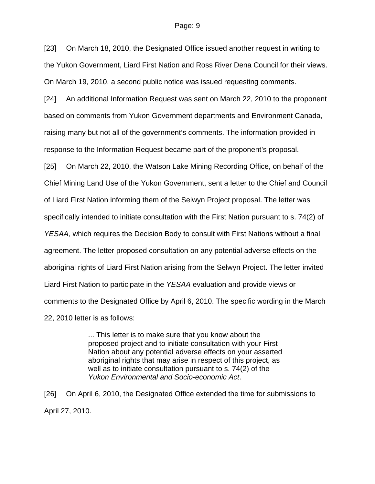[23] On March 18, 2010, the Designated Office issued another request in writing to the Yukon Government, Liard First Nation and Ross River Dena Council for their views. On March 19, 2010, a second public notice was issued requesting comments.

[24] An additional Information Request was sent on March 22, 2010 to the proponent based on comments from Yukon Government departments and Environment Canada, raising many but not all of the government's comments. The information provided in response to the Information Request became part of the proponent's proposal.

[25] On March 22, 2010, the Watson Lake Mining Recording Office, on behalf of the Chief Mining Land Use of the Yukon Government, sent a letter to the Chief and Council of Liard First Nation informing them of the Selwyn Project proposal. The letter was specifically intended to initiate consultation with the First Nation pursuant to s. 74(2) of *YESAA,* which requires the Decision Body to consult with First Nations without a final agreement. The letter proposed consultation on any potential adverse effects on the aboriginal rights of Liard First Nation arising from the Selwyn Project. The letter invited Liard First Nation to participate in the *YESAA* evaluation and provide views or comments to the Designated Office by April 6, 2010. The specific wording in the March 22, 2010 letter is as follows:

> ... This letter is to make sure that you know about the proposed project and to initiate consultation with your First Nation about any potential adverse effects on your asserted aboriginal rights that may arise in respect of this project, as well as to initiate consultation pursuant to s. 74(2) of the *Yukon Environmental and Socio-economic Act*.

[26] On April 6, 2010, the Designated Office extended the time for submissions to April 27, 2010.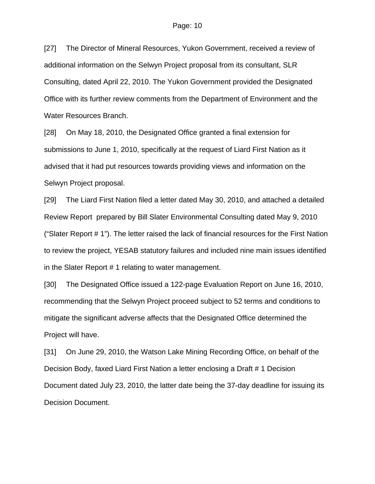[27] The Director of Mineral Resources, Yukon Government, received a review of additional information on the Selwyn Project proposal from its consultant, SLR Consulting, dated April 22, 2010. The Yukon Government provided the Designated Office with its further review comments from the Department of Environment and the Water Resources Branch.

[28] On May 18, 2010, the Designated Office granted a final extension for submissions to June 1, 2010, specifically at the request of Liard First Nation as it advised that it had put resources towards providing views and information on the Selwyn Project proposal.

[29] The Liard First Nation filed a letter dated May 30, 2010, and attached a detailed Review Report prepared by Bill Slater Environmental Consulting dated May 9, 2010 ("Slater Report # 1"). The letter raised the lack of financial resources for the First Nation to review the project, YESAB statutory failures and included nine main issues identified in the Slater Report # 1 relating to water management.

[30] The Designated Office issued a 122-page Evaluation Report on June 16, 2010, recommending that the Selwyn Project proceed subject to 52 terms and conditions to mitigate the significant adverse affects that the Designated Office determined the Project will have.

[31] On June 29, 2010, the Watson Lake Mining Recording Office, on behalf of the Decision Body, faxed Liard First Nation a letter enclosing a Draft # 1 Decision Document dated July 23, 2010, the latter date being the 37-day deadline for issuing its Decision Document.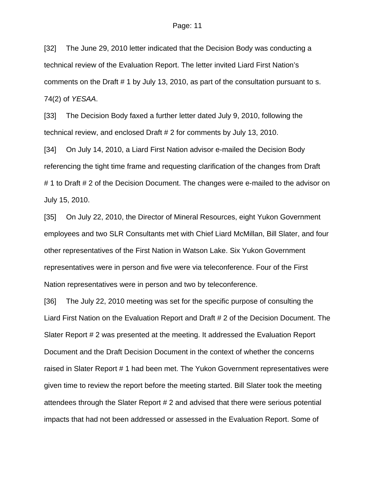[32] The June 29, 2010 letter indicated that the Decision Body was conducting a technical review of the Evaluation Report. The letter invited Liard First Nation's comments on the Draft # 1 by July 13, 2010, as part of the consultation pursuant to s. 74(2) of *YESAA*.

[33] The Decision Body faxed a further letter dated July 9, 2010, following the technical review, and enclosed Draft # 2 for comments by July 13, 2010.

[34] On July 14, 2010, a Liard First Nation advisor e-mailed the Decision Body referencing the tight time frame and requesting clarification of the changes from Draft # 1 to Draft # 2 of the Decision Document. The changes were e-mailed to the advisor on July 15, 2010.

[35] On July 22, 2010, the Director of Mineral Resources, eight Yukon Government employees and two SLR Consultants met with Chief Liard McMillan, Bill Slater, and four other representatives of the First Nation in Watson Lake. Six Yukon Government representatives were in person and five were via teleconference. Four of the First Nation representatives were in person and two by teleconference.

[36] The July 22, 2010 meeting was set for the specific purpose of consulting the Liard First Nation on the Evaluation Report and Draft # 2 of the Decision Document. The Slater Report # 2 was presented at the meeting. It addressed the Evaluation Report Document and the Draft Decision Document in the context of whether the concerns raised in Slater Report # 1 had been met. The Yukon Government representatives were given time to review the report before the meeting started. Bill Slater took the meeting attendees through the Slater Report # 2 and advised that there were serious potential impacts that had not been addressed or assessed in the Evaluation Report. Some of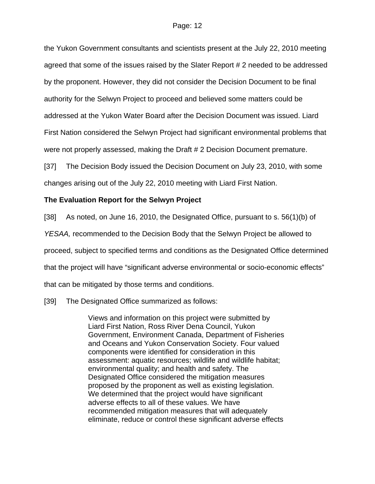the Yukon Government consultants and scientists present at the July 22, 2010 meeting agreed that some of the issues raised by the Slater Report # 2 needed to be addressed by the proponent. However, they did not consider the Decision Document to be final authority for the Selwyn Project to proceed and believed some matters could be addressed at the Yukon Water Board after the Decision Document was issued. Liard First Nation considered the Selwyn Project had significant environmental problems that were not properly assessed, making the Draft # 2 Decision Document premature.

[37] The Decision Body issued the Decision Document on July 23, 2010, with some changes arising out of the July 22, 2010 meeting with Liard First Nation.

## **The Evaluation Report for the Selwyn Project**

[38] As noted, on June 16, 2010, the Designated Office, pursuant to s. 56(1)(b) of

*YESAA,* recommended to the Decision Body that the Selwyn Project be allowed to

proceed, subject to specified terms and conditions as the Designated Office determined

that the project will have "significant adverse environmental or socio-economic effects"

that can be mitigated by those terms and conditions.

[39] The Designated Office summarized as follows:

Views and information on this project were submitted by Liard First Nation, Ross River Dena Council, Yukon Government, Environment Canada, Department of Fisheries and Oceans and Yukon Conservation Society. Four valued components were identified for consideration in this assessment: aquatic resources; wildlife and wildlife habitat; environmental quality; and health and safety. The Designated Office considered the mitigation measures proposed by the proponent as well as existing legislation. We determined that the project would have significant adverse effects to all of these values. We have recommended mitigation measures that will adequately eliminate, reduce or control these significant adverse effects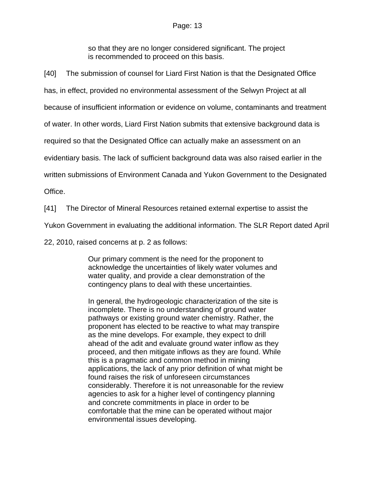so that they are no longer considered significant. The project is recommended to proceed on this basis.

[40] The submission of counsel for Liard First Nation is that the Designated Office

has, in effect, provided no environmental assessment of the Selwyn Project at all

because of insufficient information or evidence on volume, contaminants and treatment

of water. In other words, Liard First Nation submits that extensive background data is

required so that the Designated Office can actually make an assessment on an

evidentiary basis. The lack of sufficient background data was also raised earlier in the

written submissions of Environment Canada and Yukon Government to the Designated

Office.

[41] The Director of Mineral Resources retained external expertise to assist the

Yukon Government in evaluating the additional information. The SLR Report dated April

22, 2010, raised concerns at p. 2 as follows:

Our primary comment is the need for the proponent to acknowledge the uncertainties of likely water volumes and water quality, and provide a clear demonstration of the contingency plans to deal with these uncertainties.

In general, the hydrogeologic characterization of the site is incomplete. There is no understanding of ground water pathways or existing ground water chemistry. Rather, the proponent has elected to be reactive to what may transpire as the mine develops. For example, they expect to drill ahead of the adit and evaluate ground water inflow as they proceed, and then mitigate inflows as they are found. While this is a pragmatic and common method in mining applications, the lack of any prior definition of what might be found raises the risk of unforeseen circumstances considerably. Therefore it is not unreasonable for the review agencies to ask for a higher level of contingency planning and concrete commitments in place in order to be comfortable that the mine can be operated without major environmental issues developing.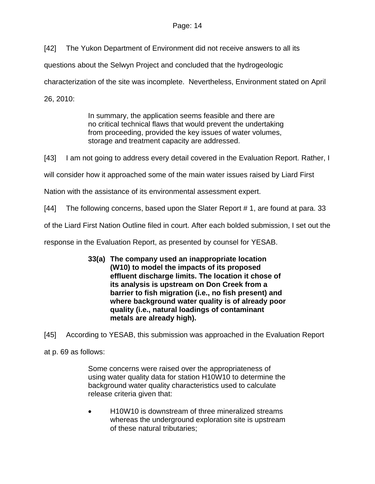[42] The Yukon Department of Environment did not receive answers to all its

questions about the Selwyn Project and concluded that the hydrogeologic

characterization of the site was incomplete. Nevertheless, Environment stated on April

26, 2010:

In summary, the application seems feasible and there are no critical technical flaws that would prevent the undertaking from proceeding, provided the key issues of water volumes, storage and treatment capacity are addressed.

[43] I am not going to address every detail covered in the Evaluation Report. Rather, I

will consider how it approached some of the main water issues raised by Liard First

Nation with the assistance of its environmental assessment expert.

[44] The following concerns, based upon the Slater Report # 1, are found at para. 33

of the Liard First Nation Outline filed in court. After each bolded submission, I set out the

response in the Evaluation Report, as presented by counsel for YESAB.

**33(a) The company used an inappropriate location (W10) to model the impacts of its proposed effluent discharge limits. The location it chose of its analysis is upstream on Don Creek from a barrier to fish migration (i.e., no fish present) and where background water quality is of already poor quality (i.e., natural loadings of contaminant metals are already high).** 

[45] According to YESAB, this submission was approached in the Evaluation Report

at p. 69 as follows:

Some concerns were raised over the appropriateness of using water quality data for station H10W10 to determine the background water quality characteristics used to calculate release criteria given that:

• H10W10 is downstream of three mineralized streams whereas the underground exploration site is upstream of these natural tributaries;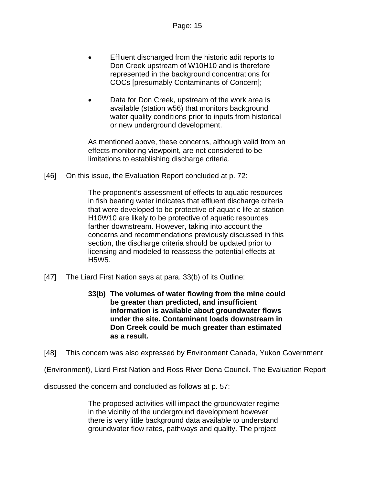- Effluent discharged from the historic adit reports to Don Creek upstream of W10H10 and is therefore represented in the background concentrations for COCs [presumably Contaminants of Concern];
- Data for Don Creek, upstream of the work area is available (station w56) that monitors background water quality conditions prior to inputs from historical or new underground development.

As mentioned above, these concerns, although valid from an effects monitoring viewpoint, are not considered to be limitations to establishing discharge criteria.

[46] On this issue, the Evaluation Report concluded at p. 72:

The proponent's assessment of effects to aquatic resources in fish bearing water indicates that effluent discharge criteria that were developed to be protective of aquatic life at station H10W10 are likely to be protective of aquatic resources farther downstream. However, taking into account the concerns and recommendations previously discussed in this section, the discharge criteria should be updated prior to licensing and modeled to reassess the potential effects at H5W5.

- [47] The Liard First Nation says at para. 33(b) of its Outline:
	- **33(b) The volumes of water flowing from the mine could be greater than predicted, and insufficient information is available about groundwater flows under the site. Contaminant loads downstream in Don Creek could be much greater than estimated as a result.**

[48] This concern was also expressed by Environment Canada, Yukon Government

(Environment), Liard First Nation and Ross River Dena Council. The Evaluation Report

discussed the concern and concluded as follows at p. 57:

The proposed activities will impact the groundwater regime in the vicinity of the underground development however there is very little background data available to understand groundwater flow rates, pathways and quality. The project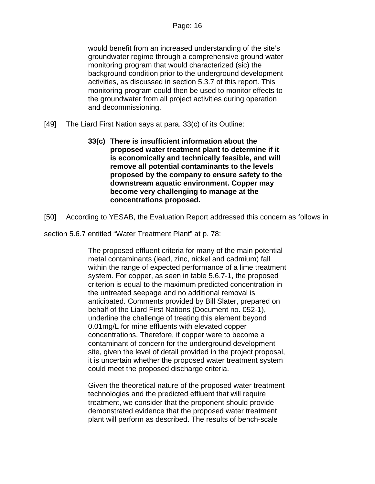would benefit from an increased understanding of the site's groundwater regime through a comprehensive ground water monitoring program that would characterized (sic) the background condition prior to the underground development activities, as discussed in section 5.3.7 of this report. This monitoring program could then be used to monitor effects to the groundwater from all project activities during operation and decommissioning.

- [49] The Liard First Nation says at para. 33(c) of its Outline:
	- **33(c) There is insufficient information about the proposed water treatment plant to determine if it is economically and technically feasible, and will remove all potential contaminants to the levels proposed by the company to ensure safety to the downstream aquatic environment. Copper may become very challenging to manage at the concentrations proposed.**
- [50] According to YESAB, the Evaluation Report addressed this concern as follows in
- section 5.6.7 entitled "Water Treatment Plant" at p. 78:

The proposed effluent criteria for many of the main potential metal contaminants (lead, zinc, nickel and cadmium) fall within the range of expected performance of a lime treatment system. For copper, as seen in table 5.6.7-1, the proposed criterion is equal to the maximum predicted concentration in the untreated seepage and no additional removal is anticipated. Comments provided by Bill Slater, prepared on behalf of the Liard First Nations (Document no. 052-1), underline the challenge of treating this element beyond 0.01mg/L for mine effluents with elevated copper concentrations. Therefore, if copper were to become a contaminant of concern for the underground development site, given the level of detail provided in the project proposal, it is uncertain whether the proposed water treatment system could meet the proposed discharge criteria.

Given the theoretical nature of the proposed water treatment technologies and the predicted effluent that will require treatment, we consider that the proponent should provide demonstrated evidence that the proposed water treatment plant will perform as described. The results of bench-scale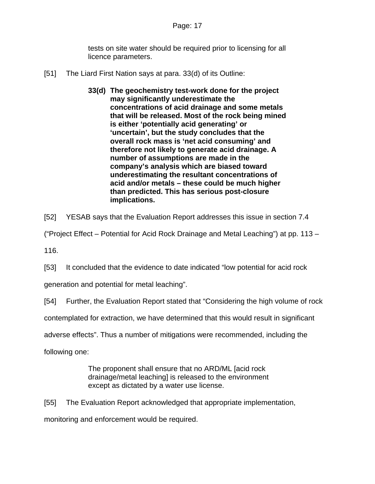tests on site water should be required prior to licensing for all licence parameters.

- [51] The Liard First Nation says at para. 33(d) of its Outline:
	- **33(d) The geochemistry test-work done for the project may significantly underestimate the concentrations of acid drainage and some metals that will be released. Most of the rock being mined is either 'potentially acid generating' or 'uncertain', but the study concludes that the overall rock mass is 'net acid consuming' and therefore not likely to generate acid drainage. A number of assumptions are made in the company's analysis which are biased toward underestimating the resultant concentrations of acid and/or metals – these could be much higher than predicted. This has serious post-closure implications.**

[52] YESAB says that the Evaluation Report addresses this issue in section 7.4

("Project Effect – Potential for Acid Rock Drainage and Metal Leaching") at pp. 113 –

116.

[53] It concluded that the evidence to date indicated "low potential for acid rock

generation and potential for metal leaching".

[54] Further, the Evaluation Report stated that "Considering the high volume of rock

contemplated for extraction, we have determined that this would result in significant

adverse effects". Thus a number of mitigations were recommended, including the

following one:

The proponent shall ensure that no ARD/ML [acid rock drainage/metal leaching] is released to the environment except as dictated by a water use license.

[55] The Evaluation Report acknowledged that appropriate implementation,

monitoring and enforcement would be required.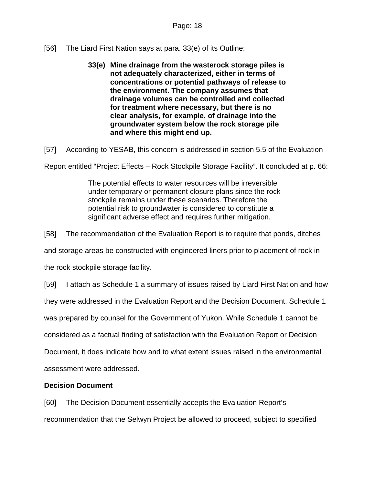[56] The Liard First Nation says at para. 33(e) of its Outline:

**33(e) Mine drainage from the wasterock storage piles is not adequately characterized, either in terms of concentrations or potential pathways of release to the environment. The company assumes that drainage volumes can be controlled and collected for treatment where necessary, but there is no clear analysis, for example, of drainage into the groundwater system below the rock storage pile and where this might end up.** 

[57] According to YESAB, this concern is addressed in section 5.5 of the Evaluation

Report entitled "Project Effects – Rock Stockpile Storage Facility". It concluded at p. 66:

The potential effects to water resources will be irreversible under temporary or permanent closure plans since the rock stockpile remains under these scenarios. Therefore the potential risk to groundwater is considered to constitute a significant adverse effect and requires further mitigation.

[58] The recommendation of the Evaluation Report is to require that ponds, ditches

and storage areas be constructed with engineered liners prior to placement of rock in

the rock stockpile storage facility.

[59] I attach as Schedule 1 a summary of issues raised by Liard First Nation and how

they were addressed in the Evaluation Report and the Decision Document. Schedule 1

was prepared by counsel for the Government of Yukon. While Schedule 1 cannot be

considered as a factual finding of satisfaction with the Evaluation Report or Decision

Document, it does indicate how and to what extent issues raised in the environmental

assessment were addressed.

# **Decision Document**

[60] The Decision Document essentially accepts the Evaluation Report's recommendation that the Selwyn Project be allowed to proceed, subject to specified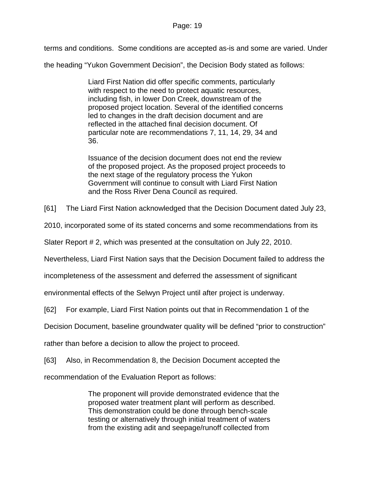terms and conditions. Some conditions are accepted as-is and some are varied. Under

the heading "Yukon Government Decision", the Decision Body stated as follows:

Liard First Nation did offer specific comments, particularly with respect to the need to protect aquatic resources, including fish, in lower Don Creek, downstream of the proposed project location. Several of the identified concerns led to changes in the draft decision document and are reflected in the attached final decision document. Of particular note are recommendations 7, 11, 14, 29, 34 and 36.

Issuance of the decision document does not end the review of the proposed project. As the proposed project proceeds to the next stage of the regulatory process the Yukon Government will continue to consult with Liard First Nation and the Ross River Dena Council as required.

[61] The Liard First Nation acknowledged that the Decision Document dated July 23,

2010, incorporated some of its stated concerns and some recommendations from its

Slater Report # 2, which was presented at the consultation on July 22, 2010.

Nevertheless, Liard First Nation says that the Decision Document failed to address the

incompleteness of the assessment and deferred the assessment of significant

environmental effects of the Selwyn Project until after project is underway.

[62] For example, Liard First Nation points out that in Recommendation 1 of the

Decision Document, baseline groundwater quality will be defined "prior to construction"

rather than before a decision to allow the project to proceed.

[63] Also, in Recommendation 8, the Decision Document accepted the

recommendation of the Evaluation Report as follows:

The proponent will provide demonstrated evidence that the proposed water treatment plant will perform as described. This demonstration could be done through bench-scale testing or alternatively through initial treatment of waters from the existing adit and seepage/runoff collected from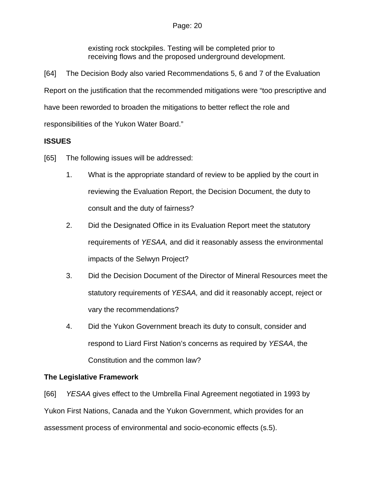existing rock stockpiles. Testing will be completed prior to receiving flows and the proposed underground development.

[64] The Decision Body also varied Recommendations 5, 6 and 7 of the Evaluation Report on the justification that the recommended mitigations were "too prescriptive and have been reworded to broaden the mitigations to better reflect the role and responsibilities of the Yukon Water Board."

# **ISSUES**

[65] The following issues will be addressed:

- 1. What is the appropriate standard of review to be applied by the court in reviewing the Evaluation Report, the Decision Document, the duty to consult and the duty of fairness?
- 2. Did the Designated Office in its Evaluation Report meet the statutory requirements of *YESAA,* and did it reasonably assess the environmental impacts of the Selwyn Project?
- 3. Did the Decision Document of the Director of Mineral Resources meet the statutory requirements of *YESAA,* and did it reasonably accept, reject or vary the recommendations?
- 4. Did the Yukon Government breach its duty to consult, consider and respond to Liard First Nation's concerns as required by *YESAA*, the Constitution and the common law?

# **The Legislative Framework**

[66] *YESAA* gives effect to the Umbrella Final Agreement negotiated in 1993 by Yukon First Nations, Canada and the Yukon Government, which provides for an assessment process of environmental and socio-economic effects (s.5).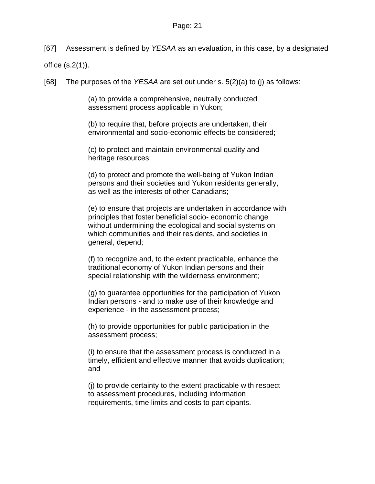[67] Assessment is defined by *YESAA* as an evaluation, in this case, by a designated

office (s.2(1)).

[68] The purposes of the *YESAA* are set out under s. 5(2)(a) to (j) as follows:

(a) to provide a comprehensive, neutrally conducted assessment process applicable in Yukon;

(b) to require that, before projects are undertaken, their environmental and socio-economic effects be considered;

(c) to protect and maintain environmental quality and heritage resources;

(d) to protect and promote the well-being of Yukon Indian persons and their societies and Yukon residents generally, as well as the interests of other Canadians;

(e) to ensure that projects are undertaken in accordance with principles that foster beneficial socio- economic change without undermining the ecological and social systems on which communities and their residents, and societies in general, depend;

(f) to recognize and, to the extent practicable, enhance the traditional economy of Yukon Indian persons and their special relationship with the wilderness environment;

(g) to guarantee opportunities for the participation of Yukon Indian persons - and to make use of their knowledge and experience - in the assessment process;

(h) to provide opportunities for public participation in the assessment process;

(i) to ensure that the assessment process is conducted in a timely, efficient and effective manner that avoids duplication; and

(j) to provide certainty to the extent practicable with respect to assessment procedures, including information requirements, time limits and costs to participants.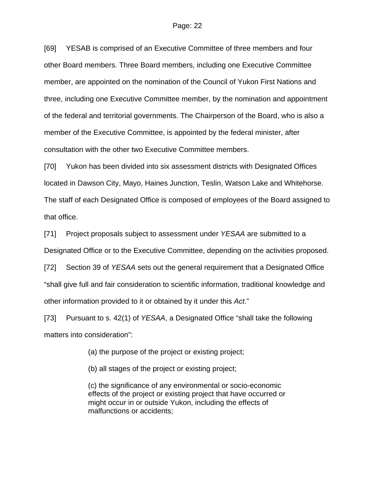[69] YESAB is comprised of an Executive Committee of three members and four other Board members. Three Board members, including one Executive Committee member, are appointed on the nomination of the Council of Yukon First Nations and three, including one Executive Committee member, by the nomination and appointment of the federal and territorial governments. The Chairperson of the Board, who is also a member of the Executive Committee, is appointed by the federal minister, after consultation with the other two Executive Committee members.

[70] Yukon has been divided into six assessment districts with Designated Offices located in Dawson City, Mayo, Haines Junction, Teslin, Watson Lake and Whitehorse. The staff of each Designated Office is composed of employees of the Board assigned to that office.

[71] Project proposals subject to assessment under *YESAA* are submitted to a Designated Office or to the Executive Committee, depending on the activities proposed.

[72] Section 39 of *YESAA* sets out the general requirement that a Designated Office "shall give full and fair consideration to scientific information, traditional knowledge and other information provided to it or obtained by it under this *Act*."

[73] Pursuant to s. 42(1) of *YESAA*, a Designated Office "shall take the following matters into consideration":

(a) the purpose of the project or existing project;

(b) all stages of the project or existing project;

(c) the significance of any environmental or socio-economic effects of the project or existing project that have occurred or might occur in or outside Yukon, including the effects of malfunctions or accidents;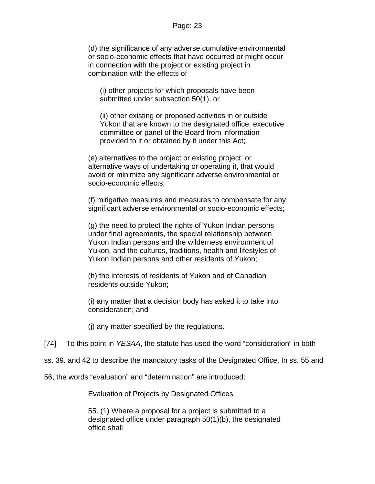(d) the significance of any adverse cumulative environmental or socio-economic effects that have occurred or might occur in connection with the project or existing project in combination with the effects of

(i) other projects for which proposals have been submitted under subsection 50(1), or

(ii) other existing or proposed activities in or outside Yukon that are known to the designated office, executive committee or panel of the Board from information provided to it or obtained by it under this Act;

(e) alternatives to the project or existing project, or alternative ways of undertaking or operating it, that would avoid or minimize any significant adverse environmental or socio-economic effects;

(f) mitigative measures and measures to compensate for any significant adverse environmental or socio-economic effects;

(g) the need to protect the rights of Yukon Indian persons under final agreements, the special relationship between Yukon Indian persons and the wilderness environment of Yukon, and the cultures, traditions, health and lifestyles of Yukon Indian persons and other residents of Yukon;

(h) the interests of residents of Yukon and of Canadian residents outside Yukon;

(i) any matter that a decision body has asked it to take into consideration; and

(j) any matter specified by the regulations.

[74] To this point in *YESAA*, the statute has used the word "consideration" in both

ss. 39. and 42 to describe the mandatory tasks of the Designated Office. In ss. 55 and

56, the words "evaluation" and "determination" are introduced:

Evaluation of Projects by Designated Offices

55. (1) Where a proposal for a project is submitted to a designated office under paragraph 50(1)(b), the designated office shall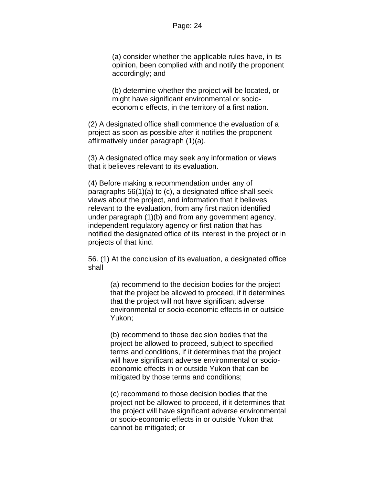(a) consider whether the applicable rules have, in its opinion, been complied with and notify the proponent accordingly; and

(b) determine whether the project will be located, or might have significant environmental or socioeconomic effects, in the territory of a first nation.

(2) A designated office shall commence the evaluation of a project as soon as possible after it notifies the proponent affirmatively under paragraph (1)(a).

(3) A designated office may seek any information or views that it believes relevant to its evaluation.

(4) Before making a recommendation under any of paragraphs 56(1)(a) to (c), a designated office shall seek views about the project, and information that it believes relevant to the evaluation, from any first nation identified under paragraph (1)(b) and from any government agency, independent regulatory agency or first nation that has notified the designated office of its interest in the project or in projects of that kind.

56. (1) At the conclusion of its evaluation, a designated office shall

> (a) recommend to the decision bodies for the project that the project be allowed to proceed, if it determines that the project will not have significant adverse environmental or socio-economic effects in or outside Yukon;

(b) recommend to those decision bodies that the project be allowed to proceed, subject to specified terms and conditions, if it determines that the project will have significant adverse environmental or socioeconomic effects in or outside Yukon that can be mitigated by those terms and conditions;

(c) recommend to those decision bodies that the project not be allowed to proceed, if it determines that the project will have significant adverse environmental or socio-economic effects in or outside Yukon that cannot be mitigated; or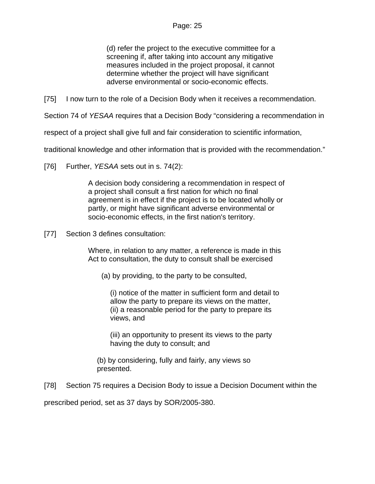(d) refer the project to the executive committee for a screening if, after taking into account any mitigative measures included in the project proposal, it cannot determine whether the project will have significant adverse environmental or socio-economic effects.

[75] I now turn to the role of a Decision Body when it receives a recommendation.

Section 74 of *YESAA* requires that a Decision Body "considering a recommendation in

respect of a project shall give full and fair consideration to scientific information,

traditional knowledge and other information that is provided with the recommendation."

[76] Further, *YESAA* sets out in s. 74(2):

A decision body considering a recommendation in respect of a project shall consult a first nation for which no final agreement is in effect if the project is to be located wholly or partly, or might have significant adverse environmental or socio-economic effects, in the first nation's territory.

[77] Section 3 defines consultation:

Where, in relation to any matter, a reference is made in this Act to consultation, the duty to consult shall be exercised

(a) by providing, to the party to be consulted,

(i) notice of the matter in sufficient form and detail to allow the party to prepare its views on the matter, (ii) a reasonable period for the party to prepare its views, and

(iii) an opportunity to present its views to the party having the duty to consult; and

(b) by considering, fully and fairly, any views so presented.

[78] Section 75 requires a Decision Body to issue a Decision Document within the

prescribed period, set as 37 days by SOR/2005-380.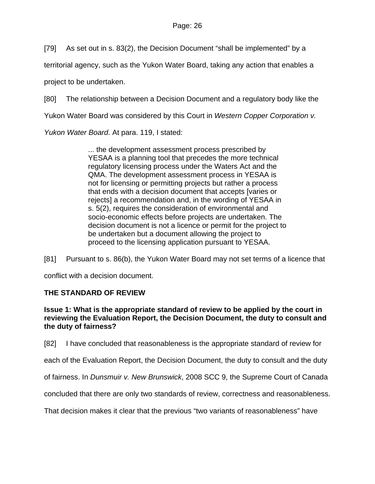[79] As set out in s. 83(2), the Decision Document "shall be implemented" by a

territorial agency, such as the Yukon Water Board, taking any action that enables a

project to be undertaken.

[80] The relationship between a Decision Document and a regulatory body like the

Yukon Water Board was considered by this Court in *Western Copper Corporation v.* 

*Yukon Water Board*. At para. 119, I stated:

... the development assessment process prescribed by YESAA is a planning tool that precedes the more technical regulatory licensing process under the Waters Act and the QMA. The development assessment process in YESAA is not for licensing or permitting projects but rather a process that ends with a decision document that accepts [varies or rejects] a recommendation and, in the wording of YESAA in s. 5(2), requires the consideration of environmental and socio-economic effects before projects are undertaken. The decision document is not a licence or permit for the project to be undertaken but a document allowing the project to proceed to the licensing application pursuant to YESAA.

[81] Pursuant to s. 86(b), the Yukon Water Board may not set terms of a licence that

conflict with a decision document.

## **THE STANDARD OF REVIEW**

**Issue 1: What is the appropriate standard of review to be applied by the court in reviewing the Evaluation Report, the Decision Document, the duty to consult and the duty of fairness?** 

[82] I have concluded that reasonableness is the appropriate standard of review for

each of the Evaluation Report, the Decision Document, the duty to consult and the duty

of fairness. In *Dunsmuir v. New Brunswick*, 2008 SCC 9, the Supreme Court of Canada

concluded that there are only two standards of review, correctness and reasonableness.

That decision makes it clear that the previous "two variants of reasonableness" have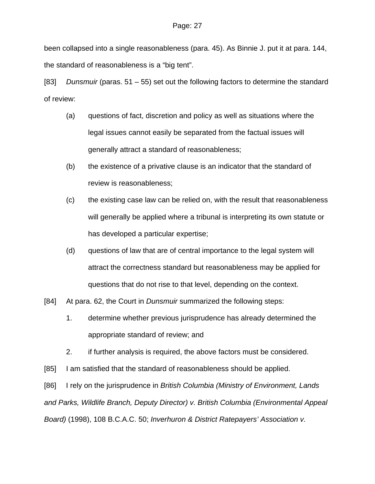been collapsed into a single reasonableness (para. 45). As Binnie J. put it at para. 144, the standard of reasonableness is a "big tent".

[83] *Dunsmuir* (paras. 51 – 55) set out the following factors to determine the standard of review:

- (a) questions of fact, discretion and policy as well as situations where the legal issues cannot easily be separated from the factual issues will generally attract a standard of reasonableness;
- (b) the existence of a privative clause is an indicator that the standard of review is reasonableness;
- (c) the existing case law can be relied on, with the result that reasonableness will generally be applied where a tribunal is interpreting its own statute or has developed a particular expertise;
- (d) questions of law that are of central importance to the legal system will attract the correctness standard but reasonableness may be applied for questions that do not rise to that level, depending on the context.
- [84] At para. 62, the Court in *Dunsmuir* summarized the following steps:
	- 1. determine whether previous jurisprudence has already determined the appropriate standard of review; and
	- 2. if further analysis is required, the above factors must be considered.
- [85] I am satisfied that the standard of reasonableness should be applied.

[86] I rely on the jurisprudence in *British Columbia (Ministry of Environment, Lands and Parks, Wildlife Branch, Deputy Director) v. British Columbia (Environmental Appeal Board)* (1998), 108 B.C.A.C. 50; *Inverhuron & District Ratepayers' Association v.*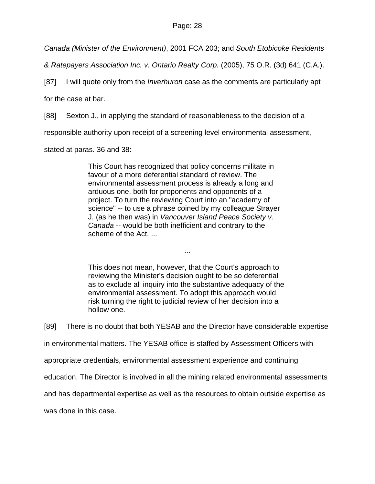*Canada (Minister of the Environment)*, 2001 FCA 203; and *South Etobicoke Residents* 

*& Ratepayers Association Inc. v. Ontario Realty Corp.* (2005), 75 O.R. (3d) 641 (C.A.).

[87] I will quote only from the *Inverhuron* case as the comments are particularly apt

for the case at bar.

[88] Sexton J., in applying the standard of reasonableness to the decision of a

responsible authority upon receipt of a screening level environmental assessment,

stated at paras. 36 and 38:

This Court has recognized that policy concerns militate in favour of a more deferential standard of review. The environmental assessment process is already a long and arduous one, both for proponents and opponents of a project. To turn the reviewing Court into an "academy of science" -- to use a phrase coined by my colleague Strayer J. (as he then was) in *Vancouver Island Peace Society v. Canada* -- would be both inefficient and contrary to the scheme of the Act. ...

This does not mean, however, that the Court's approach to reviewing the Minister's decision ought to be so deferential as to exclude all inquiry into the substantive adequacy of the environmental assessment. To adopt this approach would risk turning the right to judicial review of her decision into a hollow one.

...

[89] There is no doubt that both YESAB and the Director have considerable expertise

in environmental matters. The YESAB office is staffed by Assessment Officers with

appropriate credentials, environmental assessment experience and continuing

education. The Director is involved in all the mining related environmental assessments

and has departmental expertise as well as the resources to obtain outside expertise as

was done in this case.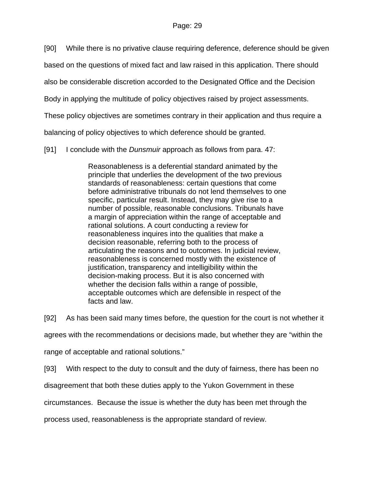[90] While there is no privative clause requiring deference, deference should be given

based on the questions of mixed fact and law raised in this application. There should

also be considerable discretion accorded to the Designated Office and the Decision

Body in applying the multitude of policy objectives raised by project assessments.

These policy objectives are sometimes contrary in their application and thus require a

balancing of policy objectives to which deference should be granted.

[91] I conclude with the *Dunsmuir* approach as follows from para. 47:

Reasonableness is a deferential standard animated by the principle that underlies the development of the two previous standards of reasonableness: certain questions that come before administrative tribunals do not lend themselves to one specific, particular result. Instead, they may give rise to a number of possible, reasonable conclusions. Tribunals have a margin of appreciation within the range of acceptable and rational solutions. A court conducting a review for reasonableness inquires into the qualities that make a decision reasonable, referring both to the process of articulating the reasons and to outcomes. In judicial review, reasonableness is concerned mostly with the existence of justification, transparency and intelligibility within the decision-making process. But it is also concerned with whether the decision falls within a range of possible, acceptable outcomes which are defensible in respect of the facts and law.

[92] As has been said many times before, the question for the court is not whether it

agrees with the recommendations or decisions made, but whether they are "within the

range of acceptable and rational solutions."

[93] With respect to the duty to consult and the duty of fairness, there has been no

disagreement that both these duties apply to the Yukon Government in these

circumstances. Because the issue is whether the duty has been met through the

process used, reasonableness is the appropriate standard of review.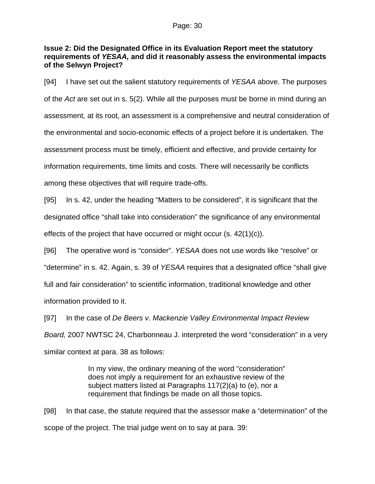## **Issue 2: Did the Designated Office in its Evaluation Report meet the statutory requirements of** *YESAA,* **and did it reasonably assess the environmental impacts of the Selwyn Project?**

[94] I have set out the salient statutory requirements of *YESAA* above. The purposes of the *Act* are set out in s. 5(2). While all the purposes must be borne in mind during an assessment, at its root, an assessment is a comprehensive and neutral consideration of the environmental and socio-economic effects of a project before it is undertaken. The assessment process must be timely, efficient and effective, and provide certainty for information requirements, time limits and costs. There will necessarily be conflicts among these objectives that will require trade-offs.

[95] In s. 42, under the heading "Matters to be considered", it is significant that the designated office "shall take into consideration" the significance of any environmental effects of the project that have occurred or might occur (s. 42(1)(c)).

[96] The operative word is "consider". *YESAA* does not use words like "resolve" or "determine" in s. 42. Again, s. 39 of *YESAA* requires that a designated office "shall give full and fair consideration" to scientific information, traditional knowledge and other information provided to it.

[97] In the case of *De Beers v. Mackenzie Valley Environmental Impact Review Board,* 2007 NWTSC 24, Charbonneau J. interpreted the word "consideration" in a very similar context at para. 38 as follows:

> In my view, the ordinary meaning of the word "consideration" does not imply a requirement for an exhaustive review of the subject matters listed at Paragraphs 117(2)(a) to (e), nor a requirement that findings be made on all those topics.

[98] In that case, the statute required that the assessor make a "determination" of the scope of the project. The trial judge went on to say at para. 39: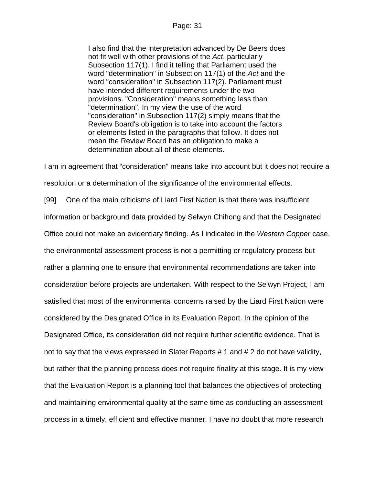I also find that the interpretation advanced by De Beers does not fit well with other provisions of the *Act*, particularly Subsection 117(1). I find it telling that Parliament used the word "determination" in Subsection 117(1) of the *Act* and the word "consideration" in Subsection 117(2). Parliament must have intended different requirements under the two provisions. "Consideration" means something less than "determination". In my view the use of the word "consideration" in Subsection 117(2) simply means that the Review Board's obligation is to take into account the factors or elements listed in the paragraphs that follow. It does not mean the Review Board has an obligation to make a determination about all of these elements.

I am in agreement that "consideration" means take into account but it does not require a resolution or a determination of the significance of the environmental effects.

[99] One of the main criticisms of Liard First Nation is that there was insufficient information or background data provided by Selwyn Chihong and that the Designated Office could not make an evidentiary finding. As I indicated in the *Western Copper* case, the environmental assessment process is not a permitting or regulatory process but rather a planning one to ensure that environmental recommendations are taken into consideration before projects are undertaken. With respect to the Selwyn Project, I am satisfied that most of the environmental concerns raised by the Liard First Nation were considered by the Designated Office in its Evaluation Report. In the opinion of the Designated Office, its consideration did not require further scientific evidence. That is not to say that the views expressed in Slater Reports # 1 and # 2 do not have validity, but rather that the planning process does not require finality at this stage. It is my view that the Evaluation Report is a planning tool that balances the objectives of protecting and maintaining environmental quality at the same time as conducting an assessment process in a timely, efficient and effective manner. I have no doubt that more research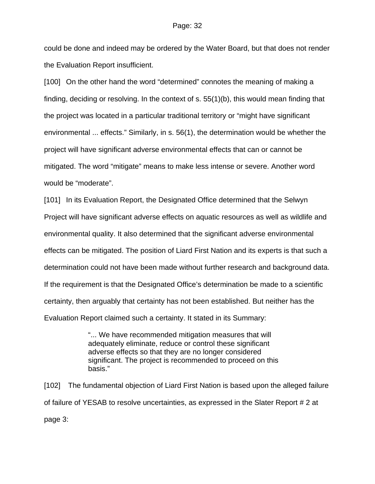could be done and indeed may be ordered by the Water Board, but that does not render the Evaluation Report insufficient.

[100] On the other hand the word "determined" connotes the meaning of making a finding, deciding or resolving. In the context of s. 55(1)(b), this would mean finding that the project was located in a particular traditional territory or "might have significant environmental ... effects." Similarly, in s. 56(1), the determination would be whether the project will have significant adverse environmental effects that can or cannot be mitigated. The word "mitigate" means to make less intense or severe. Another word would be "moderate".

[101] In its Evaluation Report, the Designated Office determined that the Selwyn Project will have significant adverse effects on aquatic resources as well as wildlife and environmental quality. It also determined that the significant adverse environmental effects can be mitigated. The position of Liard First Nation and its experts is that such a determination could not have been made without further research and background data. If the requirement is that the Designated Office's determination be made to a scientific certainty, then arguably that certainty has not been established. But neither has the Evaluation Report claimed such a certainty. It stated in its Summary:

> "... We have recommended mitigation measures that will adequately eliminate, reduce or control these significant adverse effects so that they are no longer considered significant. The project is recommended to proceed on this basis."

[102] The fundamental objection of Liard First Nation is based upon the alleged failure of failure of YESAB to resolve uncertainties, as expressed in the Slater Report # 2 at page 3: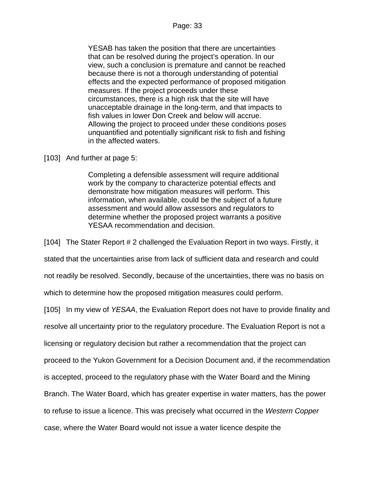YESAB has taken the position that there are uncertainties that can be resolved during the project's operation. In our view, such a conclusion is premature and cannot be reached because there is not a thorough understanding of potential effects and the expected performance of proposed mitigation measures. If the project proceeds under these circumstances, there is a high risk that the site will have unacceptable drainage in the long-term, and that impacts to fish values in lower Don Creek and below will accrue. Allowing the project to proceed under these conditions poses unquantified and potentially significant risk to fish and fishing in the affected waters.

[103] And further at page 5:

Completing a defensible assessment will require additional work by the company to characterize potential effects and demonstrate how mitigation measures will perform. This information, when available, could be the subject of a future assessment and would allow assessors and regulators to determine whether the proposed project warrants a positive YESAA recommendation and decision.

[104] The Stater Report # 2 challenged the Evaluation Report in two ways. Firstly, it

stated that the uncertainties arise from lack of sufficient data and research and could

not readily be resolved. Secondly, because of the uncertainties, there was no basis on

which to determine how the proposed mitigation measures could perform.

[105] In my view of *YESAA*, the Evaluation Report does not have to provide finality and

resolve all uncertainty prior to the regulatory procedure. The Evaluation Report is not a

licensing or regulatory decision but rather a recommendation that the project can

proceed to the Yukon Government for a Decision Document and, if the recommendation

is accepted, proceed to the regulatory phase with the Water Board and the Mining

Branch. The Water Board, which has greater expertise in water matters, has the power

to refuse to issue a licence. This was precisely what occurred in the *Western Copper* 

case, where the Water Board would not issue a water licence despite the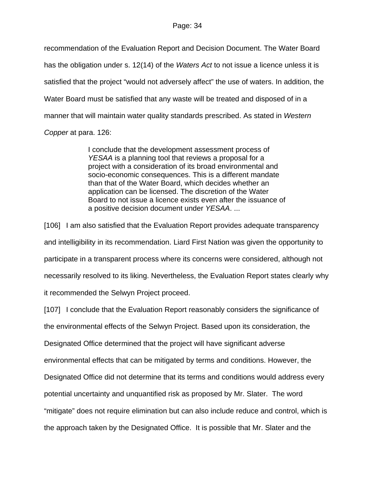recommendation of the Evaluation Report and Decision Document. The Water Board has the obligation under s. 12(14) of the *Waters Act* to not issue a licence unless it is satisfied that the project "would not adversely affect" the use of waters. In addition, the Water Board must be satisfied that any waste will be treated and disposed of in a manner that will maintain water quality standards prescribed. As stated in *Western Copper* at para. 126:

> I conclude that the development assessment process of *YESAA* is a planning tool that reviews a proposal for a project with a consideration of its broad environmental and socio-economic consequences. This is a different mandate than that of the Water Board, which decides whether an application can be licensed. The discretion of the Water Board to not issue a licence exists even after the issuance of a positive decision document under *YESAA*. ...

[106] I am also satisfied that the Evaluation Report provides adequate transparency and intelligibility in its recommendation. Liard First Nation was given the opportunity to participate in a transparent process where its concerns were considered, although not necessarily resolved to its liking. Nevertheless, the Evaluation Report states clearly why it recommended the Selwyn Project proceed.

[107] I conclude that the Evaluation Report reasonably considers the significance of the environmental effects of the Selwyn Project. Based upon its consideration, the Designated Office determined that the project will have significant adverse environmental effects that can be mitigated by terms and conditions. However, the Designated Office did not determine that its terms and conditions would address every potential uncertainty and unquantified risk as proposed by Mr. Slater. The word "mitigate" does not require elimination but can also include reduce and control, which is the approach taken by the Designated Office. It is possible that Mr. Slater and the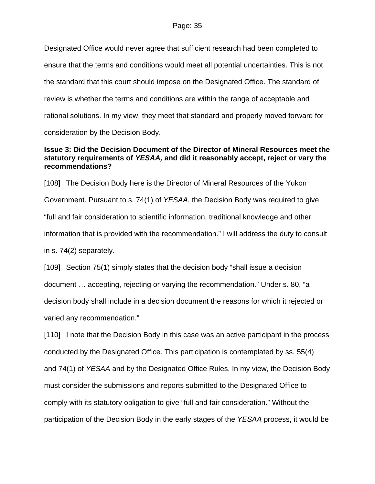Designated Office would never agree that sufficient research had been completed to ensure that the terms and conditions would meet all potential uncertainties. This is not the standard that this court should impose on the Designated Office. The standard of review is whether the terms and conditions are within the range of acceptable and rational solutions. In my view, they meet that standard and properly moved forward for consideration by the Decision Body.

## **Issue 3: Did the Decision Document of the Director of Mineral Resources meet the statutory requirements of** *YESAA,* **and did it reasonably accept, reject or vary the recommendations?**

[108] The Decision Body here is the Director of Mineral Resources of the Yukon Government. Pursuant to s. 74(1) of *YESAA*, the Decision Body was required to give "full and fair consideration to scientific information, traditional knowledge and other information that is provided with the recommendation." I will address the duty to consult in s. 74(2) separately.

[109] Section 75(1) simply states that the decision body "shall issue a decision document … accepting, rejecting or varying the recommendation." Under s. 80, "a decision body shall include in a decision document the reasons for which it rejected or varied any recommendation."

[110] I note that the Decision Body in this case was an active participant in the process conducted by the Designated Office. This participation is contemplated by ss. 55(4) and 74(1) of *YESAA* and by the Designated Office Rules. In my view, the Decision Body must consider the submissions and reports submitted to the Designated Office to comply with its statutory obligation to give "full and fair consideration." Without the participation of the Decision Body in the early stages of the *YESAA* process, it would be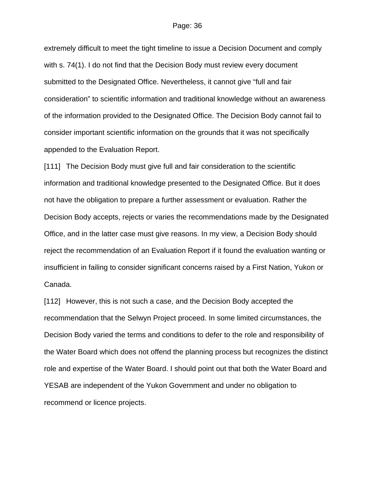extremely difficult to meet the tight timeline to issue a Decision Document and comply with s. 74(1). I do not find that the Decision Body must review every document submitted to the Designated Office. Nevertheless, it cannot give "full and fair consideration" to scientific information and traditional knowledge without an awareness of the information provided to the Designated Office. The Decision Body cannot fail to consider important scientific information on the grounds that it was not specifically appended to the Evaluation Report.

[111] The Decision Body must give full and fair consideration to the scientific information and traditional knowledge presented to the Designated Office. But it does not have the obligation to prepare a further assessment or evaluation. Rather the Decision Body accepts, rejects or varies the recommendations made by the Designated Office, and in the latter case must give reasons. In my view, a Decision Body should reject the recommendation of an Evaluation Report if it found the evaluation wanting or insufficient in failing to consider significant concerns raised by a First Nation, Yukon or Canada.

[112] However, this is not such a case, and the Decision Body accepted the recommendation that the Selwyn Project proceed. In some limited circumstances, the Decision Body varied the terms and conditions to defer to the role and responsibility of the Water Board which does not offend the planning process but recognizes the distinct role and expertise of the Water Board. I should point out that both the Water Board and YESAB are independent of the Yukon Government and under no obligation to recommend or licence projects.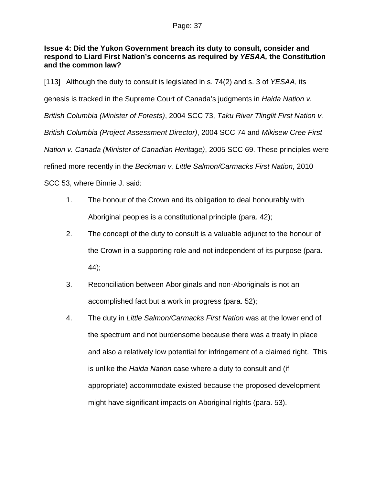## **Issue 4: Did the Yukon Government breach its duty to consult, consider and respond to Liard First Nation's concerns as required by** *YESAA,* **the Constitution and the common law?**

[113] Although the duty to consult is legislated in s. 74(2) and s. 3 of *YESAA*, its genesis is tracked in the Supreme Court of Canada's judgments in *Haida Nation v. British Columbia (Minister of Forests)*, 2004 SCC 73, *Taku River Tlinglit First Nation v. British Columbia (Project Assessment Director)*, 2004 SCC 74 and *Mikisew Cree First Nation v. Canada (Minister of Canadian Heritage)*, 2005 SCC 69. These principles were refined more recently in the *Beckman v. Little Salmon/Carmacks First Nation*, 2010

SCC 53, where Binnie J. said:

- 1. The honour of the Crown and its obligation to deal honourably with Aboriginal peoples is a constitutional principle (para. 42);
- 2. The concept of the duty to consult is a valuable adjunct to the honour of the Crown in a supporting role and not independent of its purpose (para. 44);
- 3. Reconciliation between Aboriginals and non-Aboriginals is not an accomplished fact but a work in progress (para. 52);
- 4. The duty in *Little Salmon/Carmacks First Nation* was at the lower end of the spectrum and not burdensome because there was a treaty in place and also a relatively low potential for infringement of a claimed right. This is unlike the *Haida Nation* case where a duty to consult and (if appropriate) accommodate existed because the proposed development might have significant impacts on Aboriginal rights (para. 53).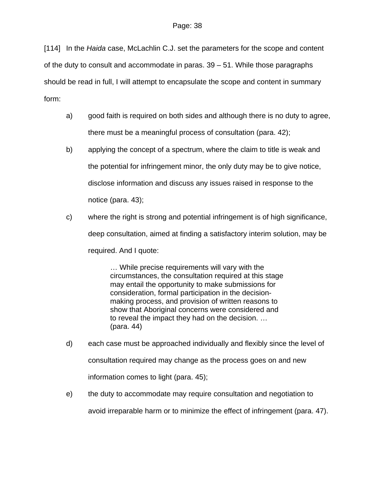[114] In the *Haida* case, McLachlin C.J. set the parameters for the scope and content of the duty to consult and accommodate in paras. 39 – 51. While those paragraphs should be read in full, I will attempt to encapsulate the scope and content in summary form:

- a) good faith is required on both sides and although there is no duty to agree, there must be a meaningful process of consultation (para. 42);
- b) applying the concept of a spectrum, where the claim to title is weak and the potential for infringement minor, the only duty may be to give notice, disclose information and discuss any issues raised in response to the notice (para. 43);
- c) where the right is strong and potential infringement is of high significance, deep consultation, aimed at finding a satisfactory interim solution, may be required. And I quote:

… While precise requirements will vary with the circumstances, the consultation required at this stage may entail the opportunity to make submissions for consideration, formal participation in the decisionmaking process, and provision of written reasons to show that Aboriginal concerns were considered and to reveal the impact they had on the decision. … (para. 44)

- d) each case must be approached individually and flexibly since the level of consultation required may change as the process goes on and new information comes to light (para. 45);
- e) the duty to accommodate may require consultation and negotiation to avoid irreparable harm or to minimize the effect of infringement (para. 47).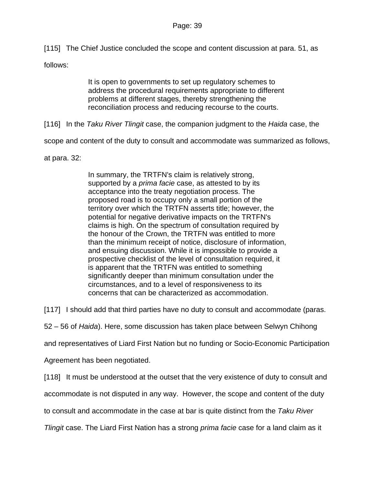[115] The Chief Justice concluded the scope and content discussion at para. 51, as

follows:

It is open to governments to set up regulatory schemes to address the procedural requirements appropriate to different problems at different stages, thereby strengthening the reconciliation process and reducing recourse to the courts.

[116] In the *Taku River Tlingit* case, the companion judgment to the *Haida* case, the

scope and content of the duty to consult and accommodate was summarized as follows,

at para. 32:

In summary, the TRTFN's claim is relatively strong, supported by a *prima facie* case, as attested to by its acceptance into the treaty negotiation process. The proposed road is to occupy only a small portion of the territory over which the TRTFN asserts title; however, the potential for negative derivative impacts on the TRTFN's claims is high. On the spectrum of consultation required by the honour of the Crown, the TRTFN was entitled to more than the minimum receipt of notice, disclosure of information, and ensuing discussion. While it is impossible to provide a prospective checklist of the level of consultation required, it is apparent that the TRTFN was entitled to something significantly deeper than minimum consultation under the circumstances, and to a level of responsiveness to its concerns that can be characterized as accommodation.

[117] I should add that third parties have no duty to consult and accommodate (paras.

52 – 56 of *Haida*). Here, some discussion has taken place between Selwyn Chihong

and representatives of Liard First Nation but no funding or Socio-Economic Participation

Agreement has been negotiated.

[118] It must be understood at the outset that the very existence of duty to consult and

accommodate is not disputed in any way. However, the scope and content of the duty

to consult and accommodate in the case at bar is quite distinct from the *Taku River* 

*Tlingit* case. The Liard First Nation has a strong *prima facie* case for a land claim as it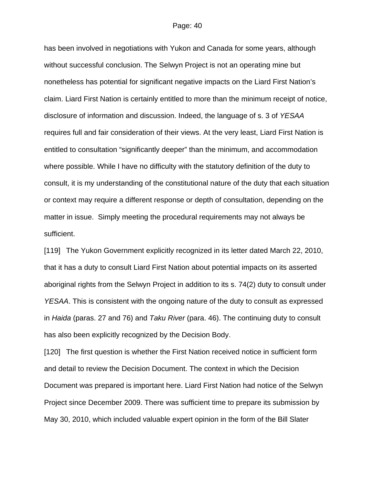has been involved in negotiations with Yukon and Canada for some years, although without successful conclusion. The Selwyn Project is not an operating mine but nonetheless has potential for significant negative impacts on the Liard First Nation's claim. Liard First Nation is certainly entitled to more than the minimum receipt of notice, disclosure of information and discussion. Indeed, the language of s. 3 of *YESAA* requires full and fair consideration of their views. At the very least, Liard First Nation is entitled to consultation "significantly deeper" than the minimum, and accommodation where possible. While I have no difficulty with the statutory definition of the duty to consult, it is my understanding of the constitutional nature of the duty that each situation or context may require a different response or depth of consultation, depending on the matter in issue. Simply meeting the procedural requirements may not always be sufficient.

[119] The Yukon Government explicitly recognized in its letter dated March 22, 2010, that it has a duty to consult Liard First Nation about potential impacts on its asserted aboriginal rights from the Selwyn Project in addition to its s. 74(2) duty to consult under *YESAA*. This is consistent with the ongoing nature of the duty to consult as expressed in *Haida* (paras. 27 and 76) and *Taku River* (para. 46). The continuing duty to consult has also been explicitly recognized by the Decision Body.

[120] The first question is whether the First Nation received notice in sufficient form and detail to review the Decision Document. The context in which the Decision Document was prepared is important here. Liard First Nation had notice of the Selwyn Project since December 2009. There was sufficient time to prepare its submission by May 30, 2010, which included valuable expert opinion in the form of the Bill Slater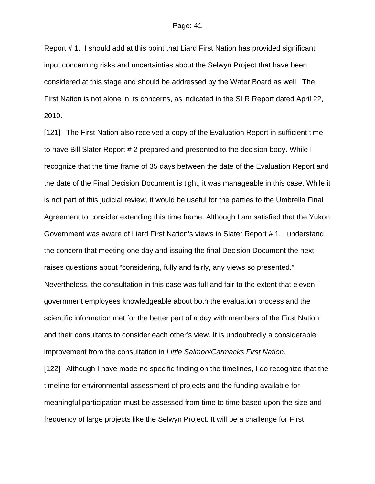Report # 1. I should add at this point that Liard First Nation has provided significant input concerning risks and uncertainties about the Selwyn Project that have been considered at this stage and should be addressed by the Water Board as well. The First Nation is not alone in its concerns, as indicated in the SLR Report dated April 22, 2010.

[121] The First Nation also received a copy of the Evaluation Report in sufficient time to have Bill Slater Report # 2 prepared and presented to the decision body. While I recognize that the time frame of 35 days between the date of the Evaluation Report and the date of the Final Decision Document is tight, it was manageable in this case. While it is not part of this judicial review, it would be useful for the parties to the Umbrella Final Agreement to consider extending this time frame. Although I am satisfied that the Yukon Government was aware of Liard First Nation's views in Slater Report # 1, I understand the concern that meeting one day and issuing the final Decision Document the next raises questions about "considering, fully and fairly, any views so presented." Nevertheless, the consultation in this case was full and fair to the extent that eleven government employees knowledgeable about both the evaluation process and the scientific information met for the better part of a day with members of the First Nation and their consultants to consider each other's view. It is undoubtedly a considerable improvement from the consultation in *Little Salmon/Carmacks First Nation*.

[122] Although I have made no specific finding on the timelines, I do recognize that the timeline for environmental assessment of projects and the funding available for meaningful participation must be assessed from time to time based upon the size and frequency of large projects like the Selwyn Project. It will be a challenge for First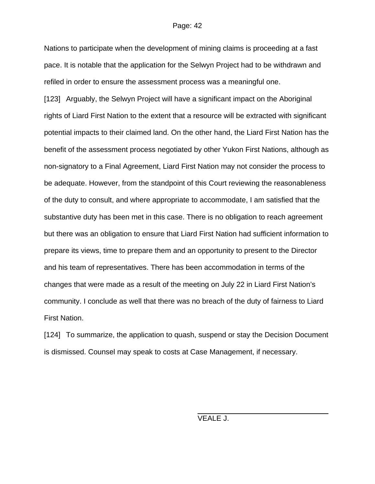Nations to participate when the development of mining claims is proceeding at a fast pace. It is notable that the application for the Selwyn Project had to be withdrawn and refiled in order to ensure the assessment process was a meaningful one.

[123] Arguably, the Selwyn Project will have a significant impact on the Aboriginal rights of Liard First Nation to the extent that a resource will be extracted with significant potential impacts to their claimed land. On the other hand, the Liard First Nation has the benefit of the assessment process negotiated by other Yukon First Nations, although as non-signatory to a Final Agreement, Liard First Nation may not consider the process to be adequate. However, from the standpoint of this Court reviewing the reasonableness of the duty to consult, and where appropriate to accommodate, I am satisfied that the substantive duty has been met in this case. There is no obligation to reach agreement but there was an obligation to ensure that Liard First Nation had sufficient information to prepare its views, time to prepare them and an opportunity to present to the Director and his team of representatives. There has been accommodation in terms of the changes that were made as a result of the meeting on July 22 in Liard First Nation's community. I conclude as well that there was no breach of the duty of fairness to Liard First Nation.

[124] To summarize, the application to quash, suspend or stay the Decision Document is dismissed. Counsel may speak to costs at Case Management, if necessary.

VEALE J.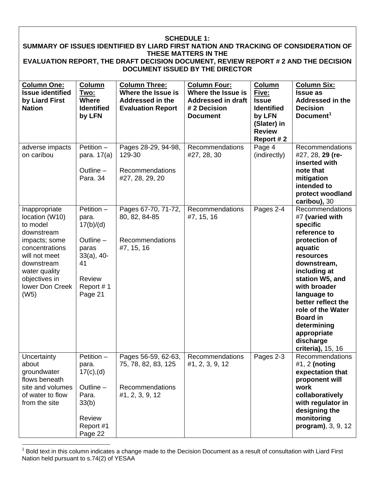| <b>SCHEDULE 1:</b><br>SUMMARY OF ISSUES IDENTIFIED BY LIARD FIRST NATION AND TRACKING OF CONSIDERATION OF                                                                                |                                                                                                                    |                                                                                            |                                                                                                           |                                                                                                                    |                                                                                                                                                                                                                                                                                                                        |  |  |  |
|------------------------------------------------------------------------------------------------------------------------------------------------------------------------------------------|--------------------------------------------------------------------------------------------------------------------|--------------------------------------------------------------------------------------------|-----------------------------------------------------------------------------------------------------------|--------------------------------------------------------------------------------------------------------------------|------------------------------------------------------------------------------------------------------------------------------------------------------------------------------------------------------------------------------------------------------------------------------------------------------------------------|--|--|--|
| THESE MATTERS IN THE<br>EVALUATION REPORT, THE DRAFT DECISION DOCUMENT, REVIEW REPORT # 2 AND THE DECISION<br><b>DOCUMENT ISSUED BY THE DIRECTOR</b>                                     |                                                                                                                    |                                                                                            |                                                                                                           |                                                                                                                    |                                                                                                                                                                                                                                                                                                                        |  |  |  |
| <b>Column One:</b><br><b>Issue identified</b><br>by Liard First<br><b>Nation</b>                                                                                                         | Column<br>Two:<br><b>Where</b><br><b>Identified</b><br>by LFN                                                      | <b>Column Three:</b><br>Where the Issue is<br>Addressed in the<br><b>Evaluation Report</b> | <b>Column Four:</b><br>Where the Issue is<br><b>Addressed in draft</b><br># 2 Decision<br><b>Document</b> | Column<br><u>Five:</u><br><b>Issue</b><br><b>Identified</b><br>by LFN<br>(Slater) in<br><b>Review</b><br>Report #2 | <b>Column Six:</b><br><b>Issue as</b><br>Addressed in the<br><b>Decision</b><br>Document <sup>1</sup>                                                                                                                                                                                                                  |  |  |  |
| adverse impacts<br>on caribou                                                                                                                                                            | $Petition -$<br>para. 17(a)<br>Outline -<br>Para, 34                                                               | Pages 28-29, 94-98,<br>129-30<br>Recommendations<br>#27, 28, 29, 20                        | Recommendations<br>#27, 28, 30                                                                            | Page 4<br>(indirectly)                                                                                             | Recommendations<br>#27, 28, 29 (re-<br>inserted with<br>note that<br>mitigation<br>intended to<br>protect woodland<br>caribou), 30                                                                                                                                                                                     |  |  |  |
| Inappropriate<br>location (W10)<br>to model<br>downstream<br>impacts; some<br>concentrations<br>will not meet<br>downstream<br>water quality<br>objectives in<br>lower Don Creek<br>(W5) | Petition $-$<br>para.<br>17(b)/(d)<br>Outline $-$<br>paras<br>$33(a), 40-$<br>41<br>Review<br>Report #1<br>Page 21 | Pages 67-70, 71-72,<br>80, 82, 84-85<br>Recommendations<br>#7, 15, 16                      | Recommendations<br>#7, 15, 16                                                                             | Pages 2-4                                                                                                          | Recommendations<br>#7 (varied with<br>specific<br>reference to<br>protection of<br>aquatic<br>resources<br>downstream,<br>including at<br>station W5, and<br>with broader<br>language to<br>better reflect the<br>role of the Water<br><b>Board in</b><br>determining<br>appropriate<br>discharge<br>criteria), 15, 16 |  |  |  |
| Uncertainty<br>about<br>groundwater<br>flows beneath<br>site and volumes<br>of water to flow<br>from the site                                                                            | Petition $-$<br>para.<br>$17(c)$ , (d)<br>Outline -<br>Para.<br>33(b)<br>Review<br>Report #1<br>Page 22            | Pages 56-59, 62-63,<br>75, 78, 82, 83, 125<br><b>Recommendations</b><br>#1, 2, 3, 9, 12    | Recommendations<br>#1, 2, 3, 9, 12                                                                        | Pages 2-3                                                                                                          | Recommendations<br>#1, $2$ (noting<br>expectation that<br>proponent will<br>work<br>collaboratively<br>with regulator in<br>designing the<br>monitoring<br>program), 3, 9, 12                                                                                                                                          |  |  |  |

<span id="page-42-0"></span><sup>————————————————————&</sup>lt;br><sup>1</sup> Bold text in this column indicates a change made to the Decision Document as a result of consultation with Liard First Nation held pursuant to s.74(2) of YESAA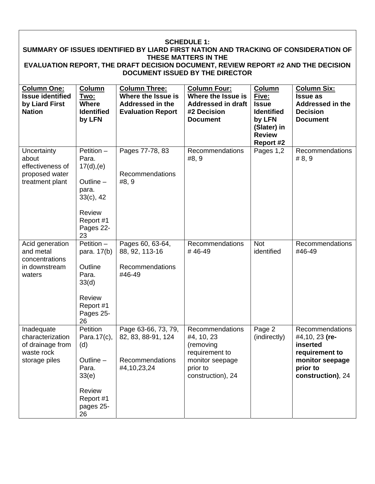#### **SCHEDULE 1: SUMMARY OF ISSUES IDENTIFIED BY LIARD FIRST NATION AND TRACKING OF CONSIDERATION OF THESE MATTERS IN THE EVALUATION REPORT, THE DRAFT DECISION DOCUMENT, REVIEW REPORT #2 AND THE DECISION DOCUMENT ISSUED BY THE DIRECTOR Column One: Issue identified Column Two: Column Three: Where the Issue is Column Four: Where the Issue is Column Five: Column Six: Issue as**

| issue iuentineu<br>by Liard First<br><b>Nation</b>                                | IWU.<br><b>Where</b><br><b>Identified</b><br>by LFN                                                                          | <b>SUBJER LITE ISSUE IS</b><br>Addressed in the<br><b>Evaluation Report</b> | <b>SUBJER LITE ISSUE IS</b><br><b>Addressed in draft</b><br>#2 Decision<br><b>Document</b>                       | <u>гіуе.</u><br><b>Issue</b><br><b>Identified</b><br>by LFN<br>(Slater) in<br><b>Review</b><br>Report #2 | issue as<br><b>Addressed in the</b><br><b>Decision</b><br><b>Document</b>                                           |
|-----------------------------------------------------------------------------------|------------------------------------------------------------------------------------------------------------------------------|-----------------------------------------------------------------------------|------------------------------------------------------------------------------------------------------------------|----------------------------------------------------------------------------------------------------------|---------------------------------------------------------------------------------------------------------------------|
| Uncertainty<br>about<br>effectiveness of<br>proposed water<br>treatment plant     | Petition $-$<br>Para.<br>17(d), (e)<br>Outline $-$<br>para.<br>$33(c)$ , 42<br><b>Review</b><br>Report #1<br>Pages 22-<br>23 | Pages 77-78, 83<br>Recommendations<br>#8, 9                                 | <b>Recommendations</b><br>#8, 9                                                                                  | Pages 1,2                                                                                                | <b>Recommendations</b><br>#8, 9                                                                                     |
| Acid generation<br>and metal<br>concentrations<br>in downstream<br>waters         | Petition -<br>para. 17(b)<br>Outline<br>Para.<br>33(d)<br>Review<br>Report #1<br>Pages 25-<br>26                             | Pages 60, 63-64,<br>88, 92, 113-16<br>Recommendations<br>#46-49             | Recommendations<br>#46-49                                                                                        | <b>Not</b><br>identified                                                                                 | Recommendations<br>#46-49                                                                                           |
| Inadequate<br>characterization<br>of drainage from<br>waste rock<br>storage piles | Petition<br>Para.17(c),<br>(d)<br>Outline -<br>Para.<br>33(e)<br>Review<br>Report #1<br>pages 25-<br>26                      | Page 63-66, 73, 79,<br>82, 83, 88-91, 124<br>Recommendations<br>#4,10,23,24 | Recommendations<br>#4, 10, 23<br>(removing<br>requirement to<br>monitor seepage<br>prior to<br>construction), 24 | Page 2<br>(indirectly)                                                                                   | Recommendations<br>#4,10, 23 (re-<br>inserted<br>requirement to<br>monitor seepage<br>prior to<br>construction), 24 |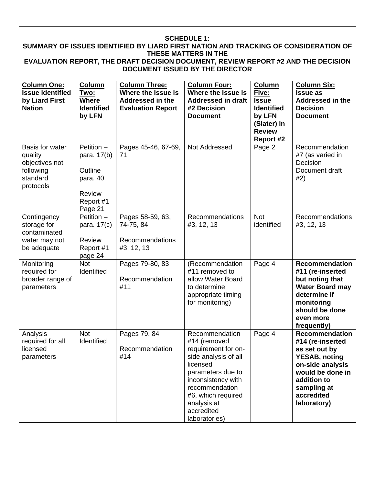#### **SCHEDULE 1: SUMMARY OF ISSUES IDENTIFIED BY LIARD FIRST NATION AND TRACKING OF CONSIDERATION OF THESE MATTERS IN THE EVALUATION REPORT, THE DRAFT DECISION DOCUMENT, REVIEW REPORT #2 AND THE DECISION DOCUMENT ISSUED BY THE DIRECTOR Column One: Issue identified by Liard First Nation Column Two: Where Identified by LFN Column Three: Where the Issue is Addressed in the Evaluation Report Column Four: Where the Issue is Addressed in draft #2 Decision Document Column Five: Issue Identified by LFN (Slater) in Review Report #2 Column Six: Issue as Addressed in the Decision Document**  Basis for water quality objectives not following standard protocols Petition – para. 17(b) Outline – para. 40 Review Report #1 Page 21 Pages 45-46, 67-69, 71 Not Addressed | Page 2 | Recommendation #7 (as varied in Decision Document draft #2) **Contingency** storage for contaminated water may not be adequate Petition – para. 17(c) Review Report #1 page 24 Pages 58-59, 63, 74-75, 84 Recommendations #3, 12, 13 Recommendations #3, 12, 13 Not identified Recommendations #3, 12, 13 Monitoring required for broader range of parameters Not Identified Pages 79-80, 83 Recommendation #11 (Recommendation #11 removed to allow Water Board to determine appropriate timing for monitoring) Page 4 **Recommendation #11 (re-inserted but noting that Water Board may determine if monitoring should be done even more frequently)**  Analysis required for all licensed parameters Not Identified Pages 79, 84 Recommendation #14 Recommendation #14 (removed requirement for onside analysis of all licensed parameters due to inconsistency with recommendation #6, which required analysis at accredited laboratories) Page 4 **Recommendation #14 (re-inserted as set out by YESAB, noting on-side analysis would be done in addition to sampling at accredited laboratory)**